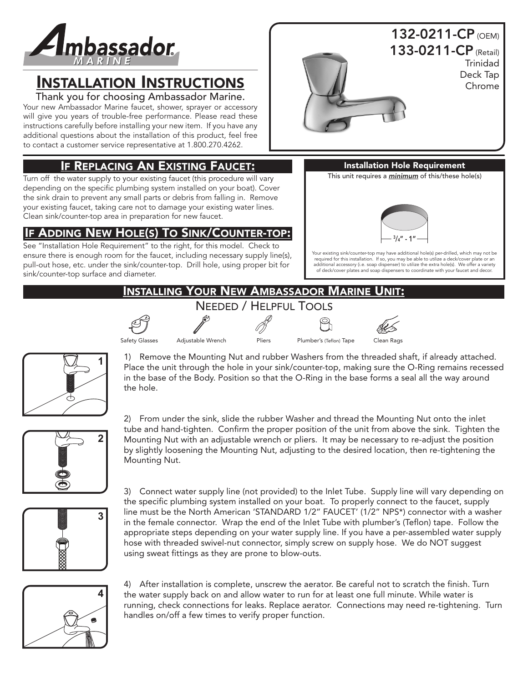

# INSTALLATION INSTRUCTIONS

Thank you for choosing Ambassador Marine.

Your new Ambassador Marine faucet, shower, sprayer or accessory will give you years of trouble-free performance. Please read these instructions carefully before installing your new item. If you have any additional questions about the installation of this product, feel free to contact a customer service representative at 1.800.270.4262.

## IF REPLACING AN EXISTING FAUCET:

Turn off the water supply to your existing faucet (this procedure will vary depending on the specific plumbing system installed on your boat). Cover the sink drain to prevent any small parts or debris from falling in. Remove your existing faucet, taking care not to damage your existing water lines. Clean sink/counter-top area in preparation for new faucet.

## IF ADDING NEW HOLE(S) TO SINK/COUNTER-TOP:

See "Installation Hole Requirement" to the right, for this model. Check to ensure there is enough room for the faucet, including necessary supply line(s), pull-out hose, etc. under the sink/counter-top. Drill hole, using proper bit for sink/counter-top surface and diameter.



Trinidad Deck Tap Chrome



Installation Hole Requirement This unit requires a *minimum* of this/these hole(s)

Your existing sink/counter-top may have additional hole(s) per-drilled, which may not be required for this installation. If so, you may be able to utilize a deck/cover plate or an additional accessory (i.e. soap dispenser) to utilize the extra hole(s). We offer a variety of deck/cover plates and soap dispensers to coordinate with your faucet and decor.

 $3/4''$  - 1"

# INSTALLING YOUR NEW AMBASSADOR MARINE UNIT:

















1) Remove the Mounting Nut and rubber Washers from the threaded shaft, if already attached. Place the unit through the hole in your sink/counter-top, making sure the O-Ring remains recessed in the base of the Body. Position so that the O-Ring in the base forms a seal all the way around the hole.



2) From under the sink, slide the rubber Washer and thread the Mounting Nut onto the inlet tube and hand-tighten. Confirm the proper position of the unit from above the sink. Tighten the Mounting Nut with an adjustable wrench or pliers. It may be necessary to re-adjust the position by slightly loosening the Mounting Nut, adjusting to the desired location, then re-tightening the Mounting Nut.



3) Connect water supply line (not provided) to the Inlet Tube. Supply line will vary depending on the specific plumbing system installed on your boat. To properly connect to the faucet, supply line must be the North American 'STANDARD 1/2" FAUCET' (1/2" NPS\*) connector with a washer in the female connector. Wrap the end of the Inlet Tube with plumber's (Teflon) tape. Follow the appropriate steps depending on your water supply line. If you have a per-assembled water supply hose with threaded swivel-nut connector, simply screw on supply hose. We do NOT suggest using sweat fittings as they are prone to blow-outs.



4) After installation is complete, unscrew the aerator. Be careful not to scratch the finish. Turn the water supply back on and allow water to run for at least one full minute. While water is running, check connections for leaks. Replace aerator. Connections may need re-tightening. Turn handles on/off a few times to verify proper function.